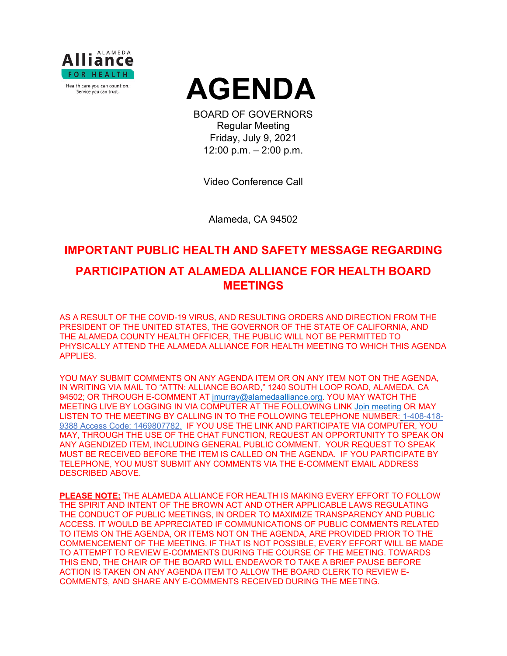



BOARD OF GOVERNORS Regular Meeting Friday, July 9, 2021 12:00 p.m. – 2:00 p.m.

Video Conference Call

Alameda, CA 94502

# **IMPORTANT PUBLIC HEALTH AND SAFETY MESSAGE REGARDING**

## **PARTICIPATION AT ALAMEDA ALLIANCE FOR HEALTH BOARD MEETINGS**

AS A RESULT OF THE COVID-19 VIRUS, AND RESULTING ORDERS AND DIRECTION FROM THE PRESIDENT OF THE UNITED STATES, THE GOVERNOR OF THE STATE OF CALIFORNIA, AND THE ALAMEDA COUNTY HEALTH OFFICER, THE PUBLIC WILL NOT BE PERMITTED TO PHYSICALLY ATTEND THE ALAMEDA ALLIANCE FOR HEALTH MEETING TO WHICH THIS AGENDA APPLIES.

YOU MAY SUBMIT COMMENTS ON ANY AGENDA ITEM OR ON ANY ITEM NOT ON THE AGENDA, IN WRITING VIA MAIL TO "ATTN: ALLIANCE BOARD," 1240 SOUTH LOOP ROAD, ALAMEDA, CA 94502; OR THROUGH E-COMMENT AT [jmurray@alamedaalliance.org.](mailto:jmurray@alamedaalliance.org) YOU MAY WATCH THE MEETING LIVE BY LOGGING IN VIA COMPUTER AT THE FOLLOWING LINK [Join meeting](https://alamedaalliance.webex.com/alamedaalliance/j.php?MTID=m4fefbe72831c76b47303fd84ed522225) OR MAY LISTEN TO THE MEETING BY CALLING IN TO THE FOLLOWING TELEPHONE NUMBER: 1-408-418- 9388 Access Code: 1469807782. IF YOU USE THE LINK AND PARTICIPATE VIA COMPUTER, YOU MAY, THROUGH THE USE OF THE CHAT FUNCTION, REQUEST AN OPPORTUNITY TO SPEAK ON ANY AGENDIZED ITEM, INCLUDING GENERAL PUBLIC COMMENT. YOUR REQUEST TO SPEAK MUST BE RECEIVED BEFORE THE ITEM IS CALLED ON THE AGENDA. IF YOU PARTICIPATE BY TELEPHONE, YOU MUST SUBMIT ANY COMMENTS VIA THE E-COMMENT EMAIL ADDRESS DESCRIBED ABOVE.

**PLEASE NOTE:** THE ALAMEDA ALLIANCE FOR HEALTH IS MAKING EVERY EFFORT TO FOLLOW THE SPIRIT AND INTENT OF THE BROWN ACT AND OTHER APPLICABLE LAWS REGULATING THE CONDUCT OF PUBLIC MEETINGS, IN ORDER TO MAXIMIZE TRANSPARENCY AND PUBLIC ACCESS. IT WOULD BE APPRECIATED IF COMMUNICATIONS OF PUBLIC COMMENTS RELATED TO ITEMS ON THE AGENDA, OR ITEMS NOT ON THE AGENDA, ARE PROVIDED PRIOR TO THE COMMENCEMENT OF THE MEETING. IF THAT IS NOT POSSIBLE, EVERY EFFORT WILL BE MADE TO ATTEMPT TO REVIEW E-COMMENTS DURING THE COURSE OF THE MEETING. TOWARDS THIS END, THE CHAIR OF THE BOARD WILL ENDEAVOR TO TAKE A BRIEF PAUSE BEFORE ACTION IS TAKEN ON ANY AGENDA ITEM TO ALLOW THE BOARD CLERK TO REVIEW E-COMMENTS, AND SHARE ANY E-COMMENTS RECEIVED DURING THE MEETING.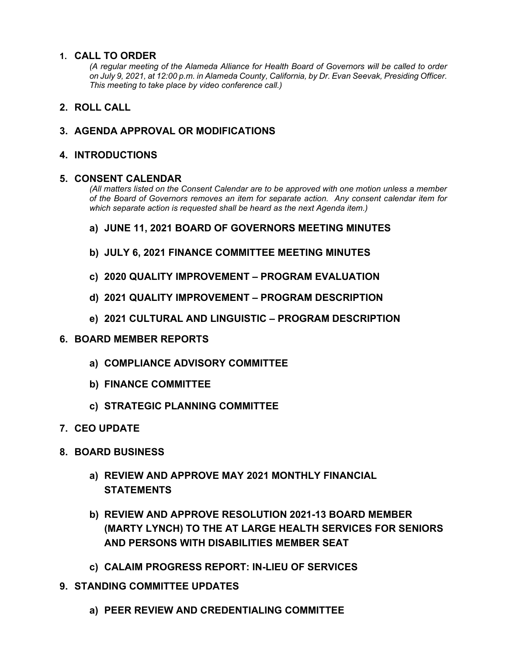#### **1. CALL TO ORDER**

*(A regular meeting of the Alameda Alliance for Health Board of Governors will be called to order on July 9, 2021, at 12:00 p.m. in Alameda County, California, by Dr. Evan Seevak, Presiding Officer. This meeting to take place by video conference call.)*

## **2. ROLL CALL**

## **3. AGENDA APPROVAL OR MODIFICATIONS**

### **4. INTRODUCTIONS**

#### **5. CONSENT CALENDAR**

*(All matters listed on the Consent Calendar are to be approved with one motion unless a member of the Board of Governors removes an item for separate action. Any consent calendar item for which separate action is requested shall be heard as the next Agenda item.)*

- **a) JUNE 11, 2021 BOARD OF GOVERNORS MEETING MINUTES**
- **b) JULY 6, 2021 FINANCE COMMITTEE MEETING MINUTES**
- **c) 2020 QUALITY IMPROVEMENT – PROGRAM EVALUATION**
- **d) 2021 QUALITY IMPROVEMENT – PROGRAM DESCRIPTION**
- **e) 2021 CULTURAL AND LINGUISTIC – PROGRAM DESCRIPTION**
- **6. BOARD MEMBER REPORTS**
	- **a) COMPLIANCE ADVISORY COMMITTEE**
	- **b) FINANCE COMMITTEE**
	- **c) STRATEGIC PLANNING COMMITTEE**
- **7. CEO UPDATE**
- **8. BOARD BUSINESS**
	- **a) REVIEW AND APPROVE MAY 2021 MONTHLY FINANCIAL STATEMENTS**
	- **b) REVIEW AND APPROVE RESOLUTION 2021-13 BOARD MEMBER (MARTY LYNCH) TO THE AT LARGE HEALTH SERVICES FOR SENIORS AND PERSONS WITH DISABILITIES MEMBER SEAT**
	- **c) CALAIM PROGRESS REPORT: IN-LIEU OF SERVICES**
- **9. STANDING COMMITTEE UPDATES**
	- **a) PEER REVIEW AND CREDENTIALING COMMITTEE**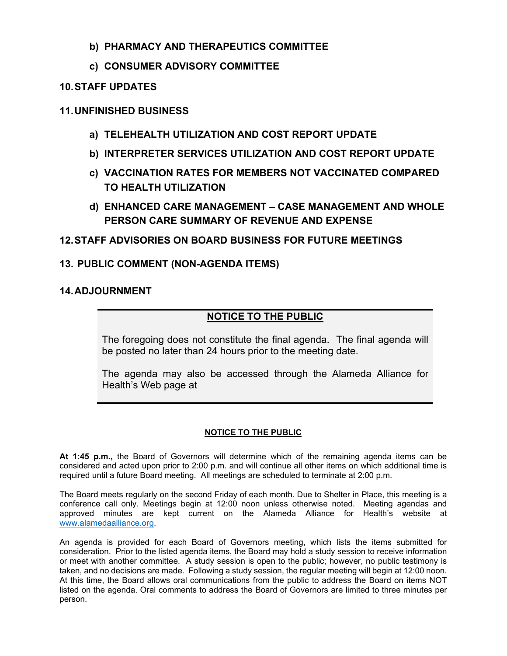## **b) PHARMACY AND THERAPEUTICS COMMITTEE**

## **c) CONSUMER ADVISORY COMMITTEE**

#### **10.STAFF UPDATES**

### **11.UNFINISHED BUSINESS**

- **a) TELEHEALTH UTILIZATION AND COST REPORT UPDATE**
- **b) INTERPRETER SERVICES UTILIZATION AND COST REPORT UPDATE**
- **c) VACCINATION RATES FOR MEMBERS NOT VACCINATED COMPARED TO HEALTH UTILIZATION**
- **d) ENHANCED CARE MANAGEMENT – CASE MANAGEMENT AND WHOLE PERSON CARE SUMMARY OF REVENUE AND EXPENSE**

## **12.STAFF ADVISORIES ON BOARD BUSINESS FOR FUTURE MEETINGS**

## **13. PUBLIC COMMENT (NON-AGENDA ITEMS)**

#### **14.ADJOURNMENT**

## **NOTICE TO THE PUBLIC**

The foregoing does not constitute the final agenda. The final agenda will be posted no later than 24 hours prior to the meeting date.

The agenda may also be accessed through the Alameda Alliance for Health's Web page at

#### **NOTICE TO THE PUBLIC**

**At 1:45 p.m.,** the Board of Governors will determine which of the remaining agenda items can be considered and acted upon prior to 2:00 p.m. and will continue all other items on which additional time is required until a future Board meeting. All meetings are scheduled to terminate at 2:00 p.m.

The Board meets regularly on the second Friday of each month. Due to Shelter in Place, this meeting is a conference call only. Meetings begin at 12:00 noon unless otherwise noted. Meeting agendas and approved minutes are kept current on the Alameda Alliance for Health's website at [www.alamedaalliance.org.](http://www.alamedaalliance.org/)

An agenda is provided for each Board of Governors meeting, which lists the items submitted for consideration. Prior to the listed agenda items, the Board may hold a study session to receive information or meet with another committee. A study session is open to the public; however, no public testimony is taken, and no decisions are made. Following a study session, the regular meeting will begin at 12:00 noon. At this time, the Board allows oral communications from the public to address the Board on items NOT listed on the agenda. Oral comments to address the Board of Governors are limited to three minutes per person.